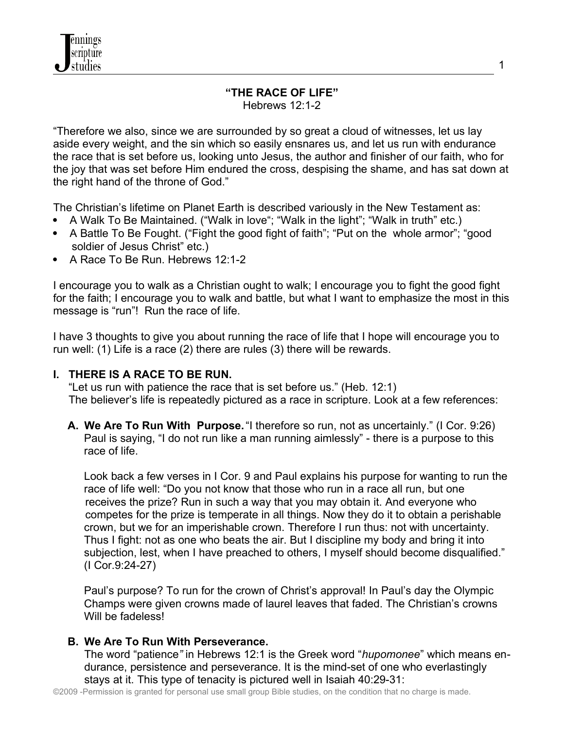#### **"THE RACE OF LIFE"** Hebrews 12:1-2

"Therefore we also, since we are surrounded by so great a cloud of witnesses, let us lay aside every weight, and the sin which so easily ensnares us, and let us run with endurance the race that is set before us, looking unto Jesus, the author and finisher of our faith, who for the joy that was set before Him endured the cross, despising the shame, and has sat down at the right hand of the throne of God."

The Christian's lifetime on Planet Earth is described variously in the New Testament as:

- A Walk To Be Maintained. ("Walk in love"; "Walk in the light"; "Walk in truth" etc.)
- A Battle To Be Fought. ("Fight the good fight of faith"; "Put on the whole armor"; "good soldier of Jesus Christ" etc.)
- A Race To Be Run. Hebrews 12:1-2

I encourage you to walk as a Christian ought to walk; I encourage you to fight the good fight for the faith; I encourage you to walk and battle, but what I want to emphasize the most in this message is "run"! Run the race of life.

I have 3 thoughts to give you about running the race of life that I hope will encourage you to run well: (1) Life is a race (2) there are rules (3) there will be rewards.

# **I. THERE IS A RACE TO BE RUN.**

 "Let us run with patience the race that is set before us." (Heb. 12:1) The believer's life is repeatedly pictured as a race in scripture. Look at a few references:

**A. We Are To Run With Purpose.** "I therefore so run, not as uncertainly." (I Cor. 9:26) Paul is saying, "I do not run like a man running aimlessly" - there is a purpose to this race of life.

 Look back a few verses in I Cor. 9 and Paul explains his purpose for wanting to run the race of life well: "Do you not know that those who run in a race all run, but one receives the prize? Run in such a way that you may obtain it. And everyone who competes for the prize is temperate in all things. Now they do it to obtain a perishable crown, but we for an imperishable crown. Therefore I run thus: not with uncertainty. Thus I fight: not as one who beats the air. But I discipline my body and bring it into subjection, lest, when I have preached to others, I myself should become disqualified." (I Cor.9:24-27)

 Paul's purpose? To run for the crown of Christ's approval! In Paul's day the Olympic Champs were given crowns made of laurel leaves that faded. The Christian's crowns Will be fadeless!

# **B. We Are To Run With Perseverance.**

The word "patience*"* in Hebrews 12:1 is the Greek word "*hupomonee*" which means endurance, persistence and perseverance. It is the mind-set of one who everlastingly stays at it. This type of tenacity is pictured well in Isaiah 40:29-31: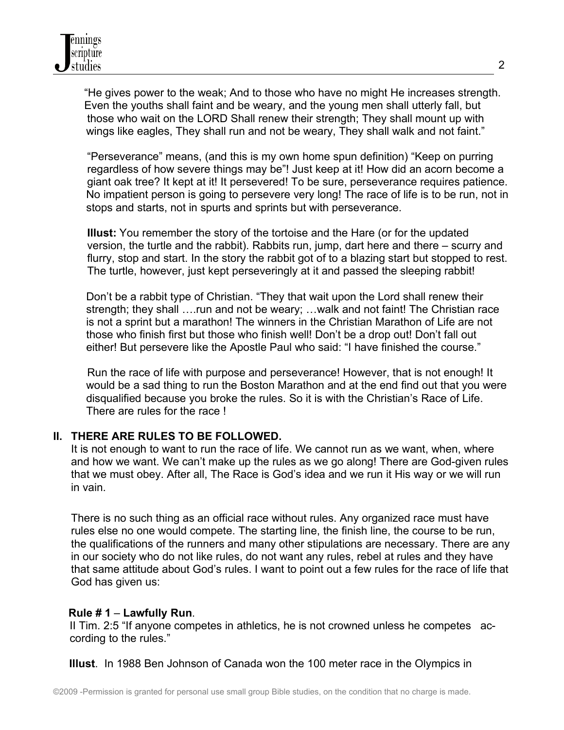"He gives power to the weak; And to those who have no might He increases strength. Even the youths shall faint and be weary, and the young men shall utterly fall, but those who wait on the LORD Shall renew their strength; They shall mount up with wings like eagles, They shall run and not be weary, They shall walk and not faint."

 "Perseverance" means, (and this is my own home spun definition) "Keep on purring regardless of how severe things may be"! Just keep at it! How did an acorn become a giant oak tree? It kept at it! It persevered! To be sure, perseverance requires patience. No impatient person is going to persevere very long! The race of life is to be run, not in stops and starts, not in spurts and sprints but with perseverance.

 **Illust:** You remember the story of the tortoise and the Hare (or for the updated version, the turtle and the rabbit). Rabbits run, jump, dart here and there – scurry and flurry, stop and start. In the story the rabbit got of to a blazing start but stopped to rest. The turtle, however, just kept perseveringly at it and passed the sleeping rabbit!

Don't be a rabbit type of Christian. "They that wait upon the Lord shall renew their strength; they shall ….run and not be weary; …walk and not faint! The Christian race is not a sprint but a marathon! The winners in the Christian Marathon of Life are not those who finish first but those who finish well! Don't be a drop out! Don't fall out either! But persevere like the Apostle Paul who said: "I have finished the course."

 Run the race of life with purpose and perseverance! However, that is not enough! It would be a sad thing to run the Boston Marathon and at the end find out that you were disqualified because you broke the rules. So it is with the Christian's Race of Life. There are rules for the race !

# **II. THERE ARE RULES TO BE FOLLOWED.**

It is not enough to want to run the race of life. We cannot run as we want, when, where and how we want. We can't make up the rules as we go along! There are God-given rules that we must obey. After all, The Race is God's idea and we run it His way or we will run in vain.

 There is no such thing as an official race without rules. Any organized race must have rules else no one would compete. The starting line, the finish line, the course to be run, the qualifications of the runners and many other stipulations are necessary. There are any in our society who do not like rules, do not want any rules, rebel at rules and they have that same attitude about God's rules. I want to point out a few rules for the race of life that God has given us:

### **Rule # 1** – **Lawfully Run**.

II Tim. 2:5 "If anyone competes in athletics, he is not crowned unless he competes according to the rules."

**Illust**. In 1988 Ben Johnson of Canada won the 100 meter race in the Olympics in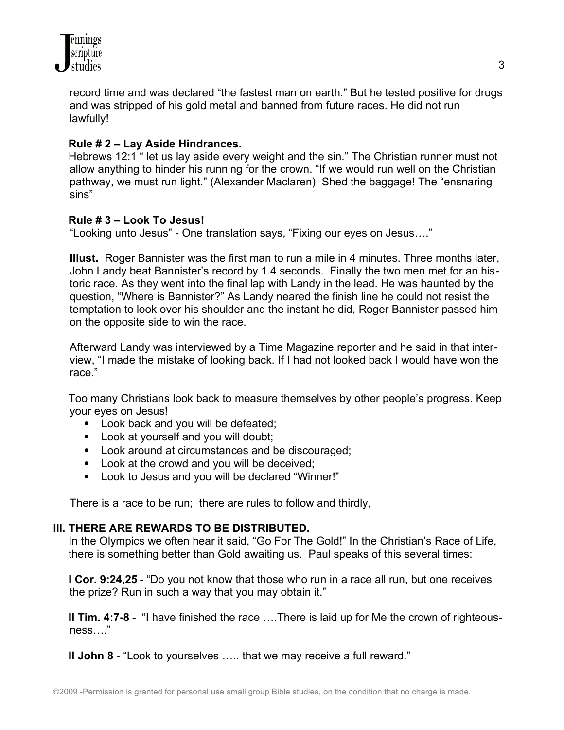

record time and was declared "the fastest man on earth." But he tested positive for drugs and was stripped of his gold metal and banned from future races. He did not run lawfully!

### **Rule # 2 – Lay Aside Hindrances.**

 Hebrews 12:1 " let us lay aside every weight and the sin." The Christian runner must not allow anything to hinder his running for the crown. "If we would run well on the Christian pathway, we must run light." (Alexander Maclaren) Shed the baggage! The "ensnaring sins"

### **Rule # 3 – Look To Jesus!**

"Looking unto Jesus" - One translation says, "Fixing our eyes on Jesus…."

**Illust.** Roger Bannister was the first man to run a mile in 4 minutes. Three months later, John Landy beat Bannister's record by 1.4 seconds. Finally the two men met for an historic race. As they went into the final lap with Landy in the lead. He was haunted by the question, "Where is Bannister?" As Landy neared the finish line he could not resist the temptation to look over his shoulder and the instant he did, Roger Bannister passed him on the opposite side to win the race.

Afterward Landy was interviewed by a Time Magazine reporter and he said in that interview, "I made the mistake of looking back. If I had not looked back I would have won the race."

 Too many Christians look back to measure themselves by other people's progress. Keep your eyes on Jesus!

- Look back and you will be defeated;
- Look at yourself and you will doubt;
- Look around at circumstances and be discouraged;
- Look at the crowd and you will be deceived;
- Look to Jesus and you will be declared "Winner!"

There is a race to be run; there are rules to follow and thirdly,

### **III. THERE ARE REWARDS TO BE DISTRIBUTED.**

 In the Olympics we often hear it said, "Go For The Gold!" In the Christian's Race of Life, there is something better than Gold awaiting us. Paul speaks of this several times:

 **I Cor. 9:24,25** - "Do you not know that those who run in a race all run, but one receives the prize? Run in such a way that you may obtain it."

 **II Tim. 4:7-8** - "I have finished the race ….There is laid up for Me the crown of righteousness…."

**II John 8** - "Look to yourselves ….. that we may receive a full reward."